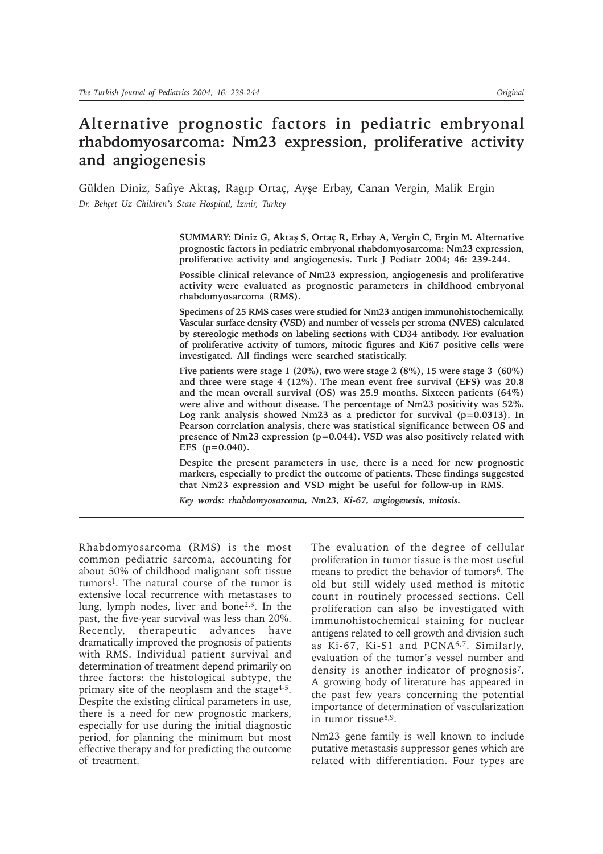# **Alternative prognostic factors in pediatric embryonal rhabdomyosarcoma: Nm23 expression, proliferative activity and angiogenesis**

Gülden Diniz, Safiye Aktaş, Ragıp Ortaç, Ayşe Erbay, Canan Vergin, Malik Ergin Dr. Behçet Uz Children's State Hospital, İzmir, Turkey

> SUMMARY: Diniz G, Aktaş S, Ortaç R, Erbay A, Vergin C, Ergin M. Alternative **prognostic factors in pediatric embryonal rhabdomyosarcoma: Nm23 expression, proliferative activity and angiogenesis. Turk J Pediatr 2004; 46: 239-244.**

> **Possible clinical relevance of Nm23 expression, angiogenesis and proliferative activity were evaluated as prognostic parameters in childhood embryonal rhabdomyosarcoma (RMS).**

> **Specimens of 25 RMS cases were studied for Nm23 antigen immunohistochemically. Vascular surface density (VSD) and number of vessels per stroma (NVES) calculated by stereologic methods on labeling sections with CD34 antibody. For evaluation of proliferative activity of tumors, mitotic figures and Ki67 positive cells were investigated. All findings were searched statistically.**

> **Five patients were stage 1 (20%), two were stage 2 (8%), 15 were stage 3 (60%) and three were stage 4 (12%). The mean event free survival (EFS) was 20.8 and the mean overall survival (OS) was 25.9 months. Sixteen patients (64%) were alive and without disease. The percentage of Nm23 positivity was 52%. Log rank analysis showed Nm23 as a predictor for survival (p=0.0313). In Pearson correlation analysis, there was statistical significance between OS and presence of Nm23 expression (p=0.044). VSD was also positively related with EFS (p=0.040).**

> **Despite the present parameters in use, there is a need for new prognostic markers, especially to predict the outcome of patients. These findings suggested that Nm23 expression and VSD might be useful for follow-up in RMS.**

*Key words: rhabdomyosarcoma, Nm23, Ki-67, angiogenesis, mitosis.*

Rhabdomyosarcoma (RMS) is the most common pediatric sarcoma, accounting for about 50% of childhood malignant soft tissue tumors1. The natural course of the tumor is extensive local recurrence with metastases to lung, lymph nodes, liver and bone2,3. In the past, the five-year survival was less than 20%. Recently, therapeutic advances have dramatically improved the prognosis of patients with RMS. Individual patient survival and determination of treatment depend primarily on three factors: the histological subtype, the primary site of the neoplasm and the stage<sup>4-5</sup>. Despite the existing clinical parameters in use, there is a need for new prognostic markers, especially for use during the initial diagnostic period, for planning the minimum but most effective therapy and for predicting the outcome of treatment.

The evaluation of the degree of cellular proliferation in tumor tissue is the most useful means to predict the behavior of tumors<sup>6</sup>. The old but still widely used method is mitotic count in routinely processed sections. Cell proliferation can also be investigated with immunohistochemical staining for nuclear antigens related to cell growth and division such as Ki-67, Ki-S1 and PCNA6,7. Similarly, evaluation of the tumor's vessel number and density is another indicator of prognosis<sup>7</sup>. A growing body of literature has appeared in the past few years concerning the potential importance of determination of vascularization in tumor tissue8,9.

Nm23 gene family is well known to include putative metastasis suppressor genes which are related with differentiation. Four types are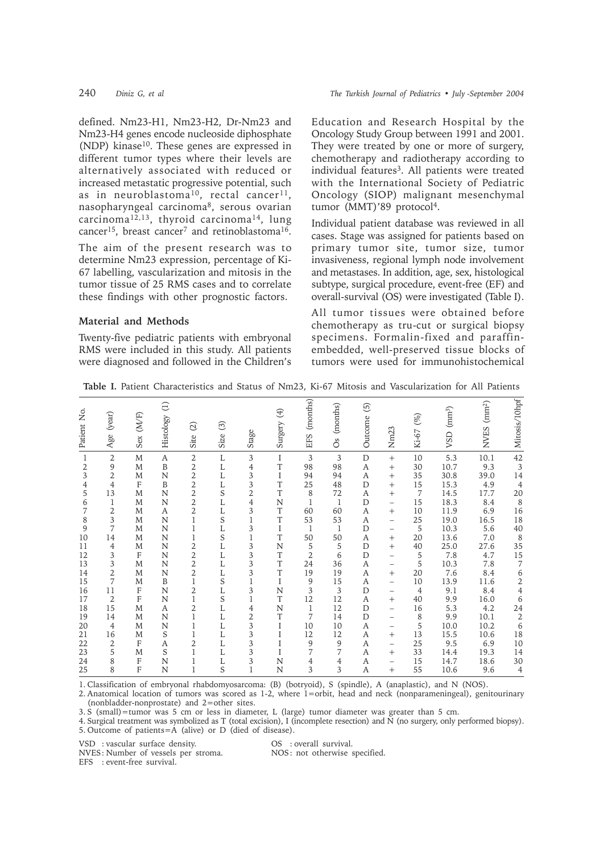defined. Nm23-H1, Nm23-H2, Dr-Nm23 and Nm23-H4 genes encode nucleoside diphosphate (NDP) kinase<sup>10</sup>. These genes are expressed in different tumor types where their levels are alternatively associated with reduced or increased metastatic progressive potential, such as in neuroblastoma<sup>10</sup>, rectal cancer<sup>11</sup>, nasopharyngeal carcinoma8, serous ovarian carcinoma<sup>12,13</sup>, thyroid carcinoma<sup>14</sup>, lung cancer<sup>15</sup>, breast cancer<sup>7</sup> and retinoblastoma<sup>16</sup>.

The aim of the present research was to determine Nm23 expression, percentage of Ki-67 labelling, vascularization and mitosis in the tumor tissue of 25 RMS cases and to correlate these findings with other prognostic factors.

## **Material and Methods**

Twenty-five pediatric patients with embryonal RMS were included in this study. All patients were diagnosed and followed in the Children's Education and Research Hospital by the Oncology Study Group between 1991 and 2001. They were treated by one or more of surgery, chemotherapy and radiotherapy according to individual features<sup>3</sup>. All patients were treated with the International Society of Pediatric Oncology (SIOP) malignant mesenchymal tumor (MMT)'89 protocol<sup>4</sup>.

Individual patient database was reviewed in all cases. Stage was assigned for patients based on primary tumor site, tumor size, tumor invasiveness, regional lymph node involvement and metastases. In addition, age, sex, histological subtype, surgical procedure, event-free (EF) and overall-survival (OS) were investigated (Table I).

All tumor tissues were obtained before chemotherapy as tru-cut or surgical biopsy specimens. Formalin-fixed and paraffinembedded, well-preserved tissue blocks of tumors were used for immunohistochemical

**Table I.** Patient Characteristics and Status of Nm23, Ki-67 Mitosis and Vascularization for All Patients

| Patient No.                                                                                                                                                             | (year)<br>Age                                                                                                                                                                                                        | Sex (M/F)                                                                                                                                                                                              | $\ominus$<br>Histology                                                                                                              | $\widehat{\omega}$<br>Site                                                                                                                                                                                                                                           | $\odot$<br>Size                                                                                                                                                                                             | Stage                                                                                                                                                                                                                         | $\bigoplus$<br>Surgery                                                                                                                                                   | (months)<br>EFS                                                                                                                                                                        | (months)<br>$\rm ^{os}$                                                                                                                                          | $\odot$<br>Outcome                                                                                                                             | Nm <sub>23</sub>                                                                                                                                                                                                                                                                                                                                                                                                                  | $($ % $)$<br>Ki-67                                                                                                                                                    | $\left( \mathrm{mm}^3 \right)$<br>VSD                                                                                                                                                                                                                                                                                                                               | $NVES$ ( $mm2$ )                                                                                                                                                                        | Mitosis/10hpf                                                                                                                                                                                           |
|-------------------------------------------------------------------------------------------------------------------------------------------------------------------------|----------------------------------------------------------------------------------------------------------------------------------------------------------------------------------------------------------------------|--------------------------------------------------------------------------------------------------------------------------------------------------------------------------------------------------------|-------------------------------------------------------------------------------------------------------------------------------------|----------------------------------------------------------------------------------------------------------------------------------------------------------------------------------------------------------------------------------------------------------------------|-------------------------------------------------------------------------------------------------------------------------------------------------------------------------------------------------------------|-------------------------------------------------------------------------------------------------------------------------------------------------------------------------------------------------------------------------------|--------------------------------------------------------------------------------------------------------------------------------------------------------------------------|----------------------------------------------------------------------------------------------------------------------------------------------------------------------------------------|------------------------------------------------------------------------------------------------------------------------------------------------------------------|------------------------------------------------------------------------------------------------------------------------------------------------|-----------------------------------------------------------------------------------------------------------------------------------------------------------------------------------------------------------------------------------------------------------------------------------------------------------------------------------------------------------------------------------------------------------------------------------|-----------------------------------------------------------------------------------------------------------------------------------------------------------------------|---------------------------------------------------------------------------------------------------------------------------------------------------------------------------------------------------------------------------------------------------------------------------------------------------------------------------------------------------------------------|-----------------------------------------------------------------------------------------------------------------------------------------------------------------------------------------|---------------------------------------------------------------------------------------------------------------------------------------------------------------------------------------------------------|
| $\,1$<br>$\mathfrak{2}$<br>3<br>$\overline{4}$<br>5<br>6<br>7<br>8<br>9<br>10<br>11<br>12<br>13<br>14<br>15<br>16<br>17<br>18<br>19<br>20<br>21<br>22<br>23<br>24<br>25 | $\sqrt{2}$<br>9<br>$\overline{2}$<br>$\overline{4}$<br>13<br>$\mathbf{1}$<br>2<br>3<br>7<br>14<br>$\overline{4}$<br>3<br>3<br>2<br>7<br>11<br>$\overline{2}$<br>15<br>14<br>4<br>16<br>$\overline{2}$<br>5<br>8<br>8 | M<br>M<br>M<br>$\mathbf{F}$<br>M<br>M<br>M<br>M<br>M<br>M<br>M<br>$\mathbf{F}$<br>M<br>M<br>M<br>$\mathbf{F}$<br>$\mathbf{F}$<br>M<br>M<br>M<br>M<br>$\mathbf{F}$<br>M<br>$\mathbf{F}$<br>$\mathbf{F}$ | A<br>B<br>N<br>B<br>N<br>N<br>A<br>N<br>N<br>N<br>N<br>$\mathbf N$<br>N<br>N<br>B<br>N<br>N<br>A<br>N<br>N<br>S<br>A<br>S<br>N<br>N | 2<br>$\overline{2}$<br>$\overline{2}$<br>$\overline{2}$<br>2<br>$\overline{2}$<br>2<br>$\mathbf{1}$<br>1<br>1<br>$\overline{2}$<br>$\overline{2}$<br>$\overline{2}$<br>2<br>1<br>2<br>$\mathbf{1}$<br>$\overline{2}$<br>1<br>1<br>1<br>$\overline{2}$<br>1<br>1<br>1 | L<br>L<br>L<br>L<br>S<br>L<br>L<br>S<br>L<br>S<br>L<br>L<br>L<br>L<br>S<br>L<br>S<br>L<br>L<br>L<br>L<br>L<br>L<br>L<br>S                                                                                   | 3<br>$\overline{4}$<br>3<br>3<br>$\overline{2}$<br>$\overline{4}$<br>3<br>$\mathbf{1}$<br>3<br>$\mathbf{1}$<br>3<br>$\mathfrak{Z}$<br>3<br>3<br>1<br>3<br>1<br>$\overline{4}$<br>$\overline{2}$<br>3<br>3<br>3<br>3<br>3<br>1 | I<br>T<br>$\bf{I}$<br>T<br>T<br>N<br>T<br>$\mathbf T$<br>$\mathbf I$<br>T<br>N<br>$\mathbf T$<br>T<br>T<br>$\mathbf I$<br>N<br>T<br>N<br>T<br>I<br>I<br>I<br>I<br>N<br>N | $\overline{3}$<br>98<br>94<br>25<br>8<br>$\mathbf{1}$<br>60<br>53<br>1<br>50<br>5<br>$\overline{2}$<br>24<br>19<br>9<br>3<br>12<br>1<br>7<br>10<br>12<br>9<br>7<br>$\overline{4}$<br>3 | 3<br>98<br>94<br>48<br>72<br>$\overline{1}$<br>60<br>53<br>$\mathbf{1}$<br>50<br>5<br>6<br>36<br>19<br>15<br>3<br>12<br>12<br>14<br>10<br>12<br>9<br>7<br>4<br>3 | $\mathbf D$<br>A<br>A<br>D<br>А<br>$\mathbf{D}$<br>A<br>A<br>D<br>A<br>D<br>D<br>A<br>А<br>A<br>D<br>A<br>D<br>D<br>A<br>A<br>A<br>A<br>А<br>A | $^{+}$<br>$\ddot{}$<br>$^{+}$<br>$^{+}$<br>$^{+}$<br>$\overline{\phantom{0}}$<br>$^{+}$<br>$\overline{\phantom{0}}$<br>$\qquad \qquad -$<br>$^{+}$<br>$+$<br>$\overline{\phantom{0}}$<br>$\qquad \qquad -$<br>$^{+}$<br>$\qquad \qquad -$<br>$\qquad \qquad -$<br>$^{+}$<br>$\overline{\phantom{0}}$<br>$\qquad \qquad -$<br>$\qquad \qquad -$<br>$^{+}$<br>$\overline{\phantom{0}}$<br>$^{+}$<br>$\overline{\phantom{0}}$<br>$+$ | 10<br>30<br>35<br>15<br>$\overline{7}$<br>15<br>10<br>25<br>5<br>20<br>40<br>5<br>5<br>20<br>10<br>$\overline{4}$<br>40<br>16<br>8<br>5<br>13<br>25<br>33<br>15<br>55 | 5.3<br>10.7<br>30.8<br>15.3<br>14.5<br>18.3<br>11.9<br>19.0<br>10.3<br>13.6<br>25.0<br>7.8<br>10.3<br>7.6<br>13.9<br>9.1<br>9.9<br>5.3<br>9.9<br>10.0<br>15.5<br>9.5<br>14.4<br>14.7<br>10.6                                                                                                                                                                        | 10.1<br>9.3<br>39.0<br>4.9<br>17.7<br>8.4<br>6.9<br>16.5<br>5.6<br>7.0<br>27.6<br>4.7<br>7.8<br>8.4<br>11.6<br>8.4<br>16.0<br>4.2<br>10.1<br>10.2<br>10.6<br>6.9<br>19.3<br>18.6<br>9.6 | 42<br>$\overline{3}$<br>14<br>4<br>20<br>8<br>16<br>18<br>40<br>8<br>35<br>15<br>$\overline{7}$<br>6<br>$\frac{2}{4}$<br>$\,$ 6 $\,$<br>24<br>$\sqrt{2}$<br>6<br>18<br>10<br>14<br>30<br>$\overline{4}$ |
| <b>EFS</b>                                                                                                                                                              | VSD : vascular surface density.<br>NVES: Number of vessels per stroma.<br>: event-free survival.                                                                                                                     |                                                                                                                                                                                                        |                                                                                                                                     |                                                                                                                                                                                                                                                                      | (nonbladder-nonprostate) and 2=other sites.<br>3. S (small)=tumor was 5 cm or less in diameter, L (large) tumor diameter was greater than 5 cm.<br>5. Outcome of patients=A (alive) or D (died of disease). |                                                                                                                                                                                                                               |                                                                                                                                                                          | OS : overall survival.<br>NOS: not otherwise specified.                                                                                                                                |                                                                                                                                                                  |                                                                                                                                                |                                                                                                                                                                                                                                                                                                                                                                                                                                   |                                                                                                                                                                       | 1. Classification of embryonal rhabdomyosarcoma: (B) (botryoid), S (spindle), A (anaplastic), and N (NOS).<br>2. Anatomical location of tumors was scored as 1-2, where 1=orbit, head and neck (nonparameningeal), genitourinary<br>4. Surgical treatment was symbolized as T (total excision), I (incomplete resection) and N (no surgery, only performed biopsy). |                                                                                                                                                                                         |                                                                                                                                                                                                         |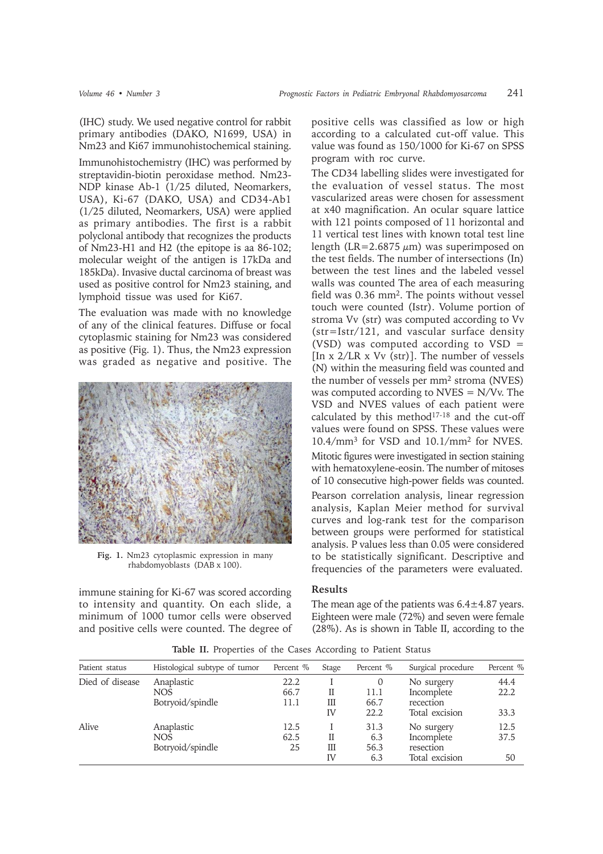(IHC) study. We used negative control for rabbit primary antibodies (DAKO, N1699, USA) in Nm23 and Ki67 immunohistochemical staining.

Immunohistochemistry (IHC) was performed by streptavidin-biotin peroxidase method. Nm23- NDP kinase Ab-1 (1/25 diluted, Neomarkers, USA), Ki-67 (DAKO, USA) and CD34-Ab1 (1/25 diluted, Neomarkers, USA) were applied as primary antibodies. The first is a rabbit polyclonal antibody that recognizes the products of Nm23-H1 and H2 (the epitope is aa 86-102; molecular weight of the antigen is 17kDa and 185kDa). Invasive ductal carcinoma of breast was used as positive control for Nm23 staining, and lymphoid tissue was used for Ki67.

The evaluation was made with no knowledge of any of the clinical features. Diffuse or focal cytoplasmic staining for Nm23 was considered as positive (Fig. 1). Thus, the Nm23 expression was graded as negative and positive. The



**Fig. 1.** Nm23 cytoplasmic expression in many rhabdomyoblasts (DAB x 100).

immune staining for Ki-67 was scored according to intensity and quantity. On each slide, a minimum of 1000 tumor cells were observed and positive cells were counted. The degree of positive cells was classified as low or high according to a calculated cut-off value. This value was found as 150/1000 for Ki-67 on SPSS program with roc curve.

The CD34 labelling slides were investigated for the evaluation of vessel status. The most vascularized areas were chosen for assessment at x40 magnification. An ocular square lattice with 121 points composed of 11 horizontal and 11 vertical test lines with known total test line length (LR=2.6875  $\mu$ m) was superimposed on the test fields. The number of intersections (In) between the test lines and the labeled vessel walls was counted The area of each measuring field was 0.36 mm2. The points without vessel touch were counted (Istr). Volume portion of stroma Vv (str) was computed according to Vv (str=Istr/121, and vascular surface density (VSD) was computed according to VSD = [In x 2/LR x Vv (str)]. The number of vessels (N) within the measuring field was counted and the number of vessels per mm2 stroma (NVES) was computed according to NVES = N/Vv. The VSD and NVES values of each patient were calculated by this method<sup>17-18</sup> and the cut-off values were found on SPSS. These values were 10.4/mm3 for VSD and 10.1/mm2 for NVES.

Mitotic figures were investigated in section staining with hematoxylene-eosin. The number of mitoses of 10 consecutive high-power fields was counted. Pearson correlation analysis, linear regression analysis, Kaplan Meier method for survival curves and log-rank test for the comparison between groups were performed for statistical analysis. P values less than 0.05 were considered to be statistically significant. Descriptive and frequencies of the parameters were evaluated.

# **Results**

The mean age of the patients was  $6.4 \pm 4.87$  years. Eighteen were male (72%) and seven were female (28%). As is shown in Table II, according to the

| Patient status  | Histological subtype of tumor | Percent % | Stage | Percent % | Surgical procedure | Percent % |
|-----------------|-------------------------------|-----------|-------|-----------|--------------------|-----------|
| Died of disease | Anaplastic                    | 22.2      |       | $\Omega$  | No surgery         | 44.4      |
|                 | <b>NOS</b>                    | 66.7      | П     | 11.1      | Incomplete         | 22.2      |
|                 | Botryoid/spindle              | 11.1      | Ш     | 66.7      | recection          |           |
|                 |                               |           | IV    | 22.2      | Total excision     | 33.3      |
| Alive           | Anaplastic                    | 12.5      |       | 31.3      | No surgery         | 12.5      |
|                 | <b>NOS</b>                    | 62.5      | П     | 6.3       | Incomplete         | 37.5      |
|                 | Botryoid/spindle              | 25        | Ш     | 56.3      | resection          |           |
|                 |                               |           | IV    | 6.3       | Total excision     | 50        |

**Table II.** Properties of the Cases According to Patient Status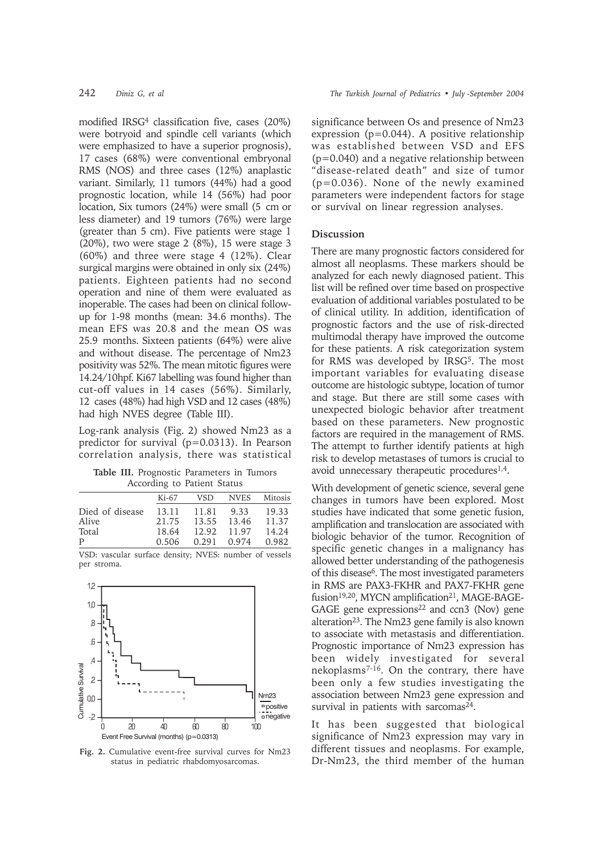modified IRSG4 classification five, cases (20%) were botryoid and spindle cell variants (which were emphasized to have a superior prognosis), 17 cases (68%) were conventional embryonal RMS (NOS) and three cases (12%) anaplastic variant. Similarly, 11 tumors (44%) had a good prognostic location, while 14 (56%) had poor location, Six tumors (24%) were small (5 cm or less diameter) and 19 tumors (76%) were large (greater than 5 cm). Five patients were stage 1 (20%), two were stage 2 (8%), 15 were stage 3 (60%) and three were stage 4 (12%). Clear surgical margins were obtained in only six (24%) patients. Eighteen patients had no second operation and nine of them were evaluated as inoperable. The cases had been on clinical followup for 1-98 months (mean: 34.6 months). The mean EFS was 20.8 and the mean OS was 25.9 months. Sixteen patients (64%) were alive and without disease. The percentage of Nm23 positivity was 52%. The mean mitotic figures were 14.24/10hpf. Ki67 labelling was found higher than cut-off values in 14 cases (56%). Similarly, 12 cases (48%) had high VSD and 12 cases (48%) had high NVES degree (Table III).

Log-rank analysis (Fig. 2) showed Nm23 as a predictor for survival (p=0.0313). In Pearson correlation analysis, there was statistical

**Table III.** Prognostic Parameters in Tumors According to Patient Status

|                 | $Ki-67$ | <b>VSD</b> | <b>NVES</b> | Mitosis |
|-----------------|---------|------------|-------------|---------|
| Died of disease | 13.11   | 11.81      | 9.33        | 19.33   |
| Alive           | 21.75   | 13.55      | 13.46       | 11.37   |
| Total           | 18.64   | 12.92      | 11.97       | 14.24   |
| P               | 0.506   | 0.291      | 0.974       | 0.982   |

VSD: vascular surface density; NVES: number of vessels per stroma.



**Fig. 2.** Cumulative event-free survival curves for Nm23 status in pediatric rhabdomyosarcomas.

significance between Os and presence of Nm23 expression (p=0.044). A positive relationship was established between VSD and EFS  $(p=0.040)$  and a negative relationship between "disease-related death" and size of tumor (p=0.036). None of the newly examined parameters were independent factors for stage or survival on linear regression analyses.

## **Discussion**

There are many prognostic factors considered for almost all neoplasms. These markers should be analyzed for each newly diagnosed patient. This list will be refined over time based on prospective evaluation of additional variables postulated to be of clinical utility. In addition, identification of prognostic factors and the use of risk-directed multimodal therapy have improved the outcome for these patients. A risk categorization system for RMS was developed by IRSG<sup>5</sup>. The most important variables for evaluating disease outcome are histologic subtype, location of tumor and stage. But there are still some cases with unexpected biologic behavior after treatment based on these parameters. New prognostic factors are required in the management of RMS. The attempt to further identify patients at high risk to develop metastases of tumors is crucial to avoid unnecessary therapeutic procedures<sup>1,4</sup>.

With development of genetic science, several gene changes in tumors have been explored. Most studies have indicated that some genetic fusion, amplification and translocation are associated with biologic behavior of the tumor. Recognition of specific genetic changes in a malignancy has allowed better understanding of the pathogenesis of this disease6. The most investigated parameters in RMS are PAX3-FKHR and PAX7-FKHR gene fusion<sup>19,20</sup>, MYCN amplification<sup>21</sup>, MAGE-BAGE-GAGE gene expressions $22$  and ccn3 (Nov) gene alteration<sup>23</sup>. The Nm23 gene family is also known to associate with metastasis and differentiation. Prognostic importance of Nm23 expression has been widely investigated for several nekoplasms7-16. On the contrary, there have been only a few studies investigating the association between Nm23 gene expression and survival in patients with sarcomas<sup>24</sup>.

It has been suggested that biological significance of Nm23 expression may vary in different tissues and neoplasms. For example, Dr-Nm23, the third member of the human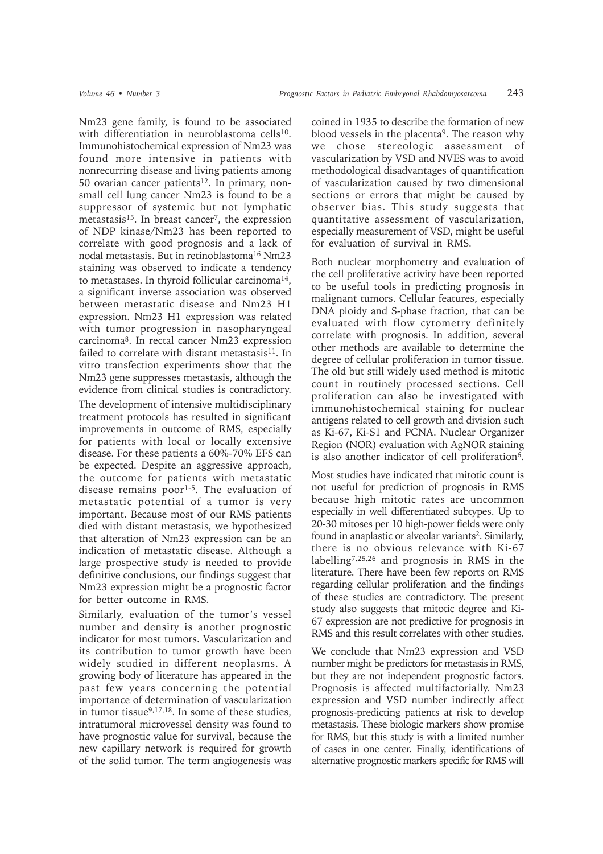Nm23 gene family, is found to be associated with differentiation in neuroblastoma cells<sup>10</sup>. Immunohistochemical expression of Nm23 was found more intensive in patients with nonrecurring disease and living patients among 50 ovarian cancer patients<sup>12</sup>. In primary, nonsmall cell lung cancer Nm23 is found to be a suppressor of systemic but not lymphatic metastasis<sup>15</sup>. In breast cancer<sup>7</sup>, the expression of NDP kinase/Nm23 has been reported to correlate with good prognosis and a lack of nodal metastasis. But in retinoblastoma16 Nm23 staining was observed to indicate a tendency to metastases. In thyroid follicular carcinoma<sup>14</sup>, a significant inverse association was observed between metastatic disease and Nm23 H1 expression. Nm23 H1 expression was related with tumor progression in nasopharyngeal carcinoma8. In rectal cancer Nm23 expression failed to correlate with distant metastasis $^{11}$ . In vitro transfection experiments show that the Nm23 gene suppresses metastasis, although the evidence from clinical studies is contradictory.

The development of intensive multidisciplinary treatment protocols has resulted in significant improvements in outcome of RMS, especially for patients with local or locally extensive disease. For these patients a 60%-70% EFS can be expected. Despite an aggressive approach, the outcome for patients with metastatic disease remains poor<sup>1-5</sup>. The evaluation of metastatic potential of a tumor is very important. Because most of our RMS patients died with distant metastasis, we hypothesized that alteration of Nm23 expression can be an indication of metastatic disease. Although a large prospective study is needed to provide definitive conclusions, our findings suggest that Nm23 expression might be a prognostic factor for better outcome in RMS.

Similarly, evaluation of the tumor's vessel number and density is another prognostic indicator for most tumors. Vascularization and its contribution to tumor growth have been widely studied in different neoplasms. A growing body of literature has appeared in the past few years concerning the potential importance of determination of vascularization in tumor tissue9,17,18. In some of these studies, intratumoral microvessel density was found to have prognostic value for survival, because the new capillary network is required for growth of the solid tumor. The term angiogenesis was

coined in 1935 to describe the formation of new blood vessels in the placenta<sup>9</sup>. The reason why we chose stereologic assessment of vascularization by VSD and NVES was to avoid methodological disadvantages of quantification of vascularization caused by two dimensional sections or errors that might be caused by observer bias. This study suggests that quantitative assessment of vascularization, especially measurement of VSD, might be useful for evaluation of survival in RMS.

Both nuclear morphometry and evaluation of the cell proliferative activity have been reported to be useful tools in predicting prognosis in malignant tumors. Cellular features, especially DNA ploidy and S-phase fraction, that can be evaluated with flow cytometry definitely correlate with prognosis. In addition, several other methods are available to determine the degree of cellular proliferation in tumor tissue. The old but still widely used method is mitotic count in routinely processed sections. Cell proliferation can also be investigated with immunohistochemical staining for nuclear antigens related to cell growth and division such as Ki-67, Ki-S1 and PCNA. Nuclear Organizer Region (NOR) evaluation with AgNOR staining is also another indicator of cell proliferation<sup>6</sup>.

Most studies have indicated that mitotic count is not useful for prediction of prognosis in RMS because high mitotic rates are uncommon especially in well differentiated subtypes. Up to 20-30 mitoses per 10 high-power fields were only found in anaplastic or alveolar variants<sup>2</sup>. Similarly, there is no obvious relevance with Ki-67 labelling7,25,26 and prognosis in RMS in the literature. There have been few reports on RMS regarding cellular proliferation and the findings of these studies are contradictory. The present study also suggests that mitotic degree and Ki-67 expression are not predictive for prognosis in RMS and this result correlates with other studies.

We conclude that Nm23 expression and VSD number might be predictors for metastasis in RMS, but they are not independent prognostic factors. Prognosis is affected multifactorially. Nm23 expression and VSD number indirectly affect prognosis-predicting patients at risk to develop metastasis. These biologic markers show promise for RMS, but this study is with a limited number of cases in one center. Finally, identifications of alternative prognostic markers specific for RMS will